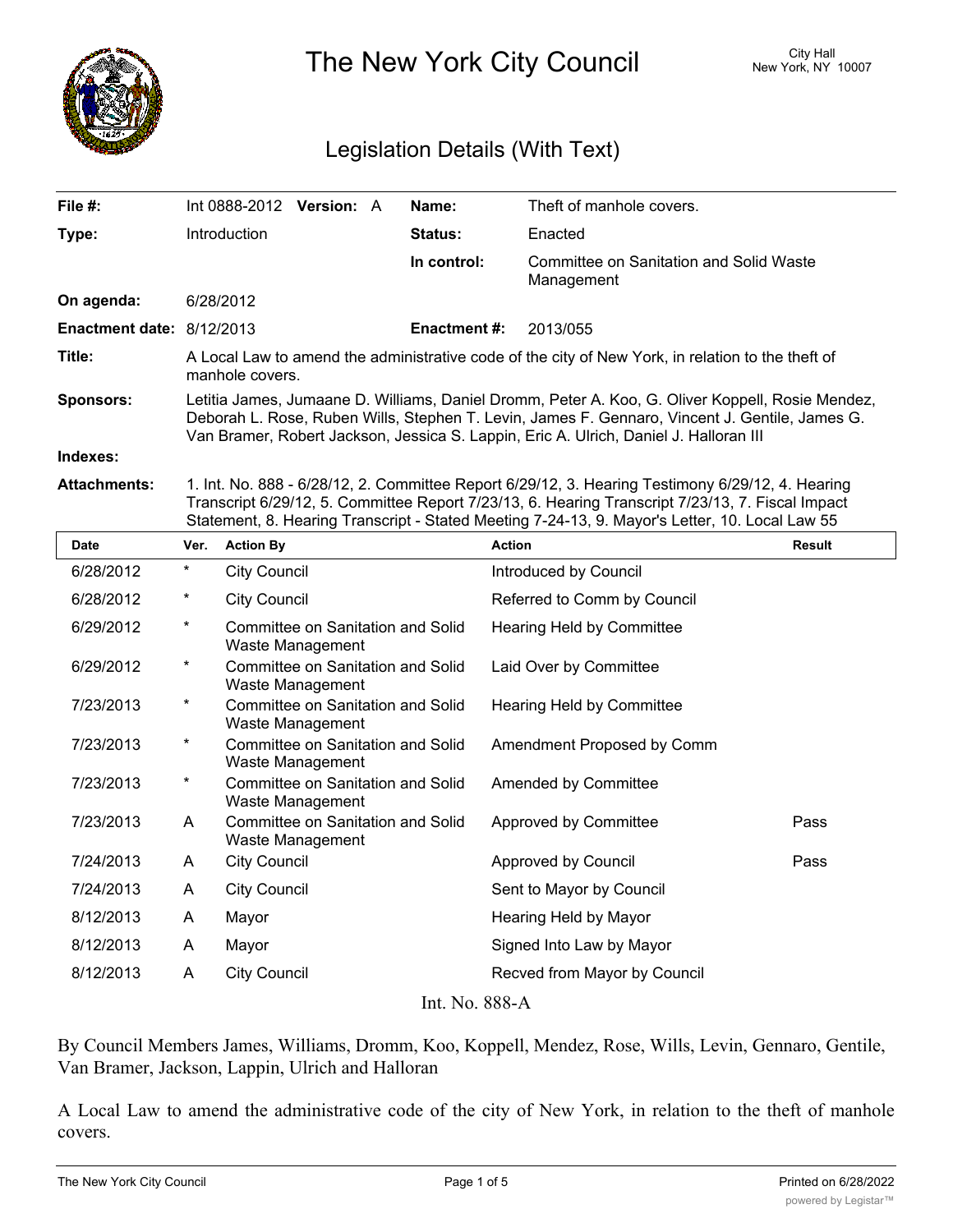

The New York City Council New York, NY 10007

## Legislation Details (With Text)

| File $#$ :                | Int 0888-2012 Version: A                                                                                                                                                                                                                                                                    |  |  | Name:               | Theft of manhole covers.                              |  |  |
|---------------------------|---------------------------------------------------------------------------------------------------------------------------------------------------------------------------------------------------------------------------------------------------------------------------------------------|--|--|---------------------|-------------------------------------------------------|--|--|
| Type:                     | Introduction                                                                                                                                                                                                                                                                                |  |  | Status:             | Enacted                                               |  |  |
|                           |                                                                                                                                                                                                                                                                                             |  |  | In control:         | Committee on Sanitation and Solid Waste<br>Management |  |  |
| On agenda:                | 6/28/2012                                                                                                                                                                                                                                                                                   |  |  |                     |                                                       |  |  |
| Enactment date: 8/12/2013 |                                                                                                                                                                                                                                                                                             |  |  | <b>Enactment #:</b> | 2013/055                                              |  |  |
| Title:                    | A Local Law to amend the administrative code of the city of New York, in relation to the theft of<br>manhole covers.                                                                                                                                                                        |  |  |                     |                                                       |  |  |
| <b>Sponsors:</b>          | Letitia James, Jumaane D. Williams, Daniel Dromm, Peter A. Koo, G. Oliver Koppell, Rosie Mendez,<br>Deborah L. Rose, Ruben Wills, Stephen T. Levin, James F. Gennaro, Vincent J. Gentile, James G.<br>Van Bramer, Robert Jackson, Jessica S. Lappin, Eric A. Ulrich, Daniel J. Halloran III |  |  |                     |                                                       |  |  |
| Indexes:                  |                                                                                                                                                                                                                                                                                             |  |  |                     |                                                       |  |  |
| Attachmantai              | 1 Int No. 000 6/00/10 0 Committee Depart 6/00/10 0 Hearing Testimeny 6/00/10 1 Hearing                                                                                                                                                                                                      |  |  |                     |                                                       |  |  |

**Attachments:** 1. Int. No. 888 - 6/28/12, 2. Committee Report 6/29/12, 3. Hearing Testimony 6/29/12, 4. Hearing Transcript 6/29/12, 5. Committee Report 7/23/13, 6. Hearing Transcript 7/23/13, 7. Fiscal Impact Statement, 8. Hearing Transcript - Stated Meeting 7-24-13, 9. Mayor's Letter, 10. Local Law 55

| <b>Date</b>    | Ver.     | <b>Action By</b>                                      | <b>Action</b>                | <b>Result</b> |  |  |  |  |
|----------------|----------|-------------------------------------------------------|------------------------------|---------------|--|--|--|--|
| 6/28/2012      | $^\star$ | City Council                                          | Introduced by Council        |               |  |  |  |  |
| 6/28/2012      | $^\star$ | <b>City Council</b>                                   | Referred to Comm by Council  |               |  |  |  |  |
| 6/29/2012      | *        | Committee on Sanitation and Solid<br>Waste Management | Hearing Held by Committee    |               |  |  |  |  |
| 6/29/2012      | $^\star$ | Committee on Sanitation and Solid<br>Waste Management | Laid Over by Committee       |               |  |  |  |  |
| 7/23/2013      | $^\star$ | Committee on Sanitation and Solid<br>Waste Management | Hearing Held by Committee    |               |  |  |  |  |
| 7/23/2013      | $^\star$ | Committee on Sanitation and Solid<br>Waste Management | Amendment Proposed by Comm   |               |  |  |  |  |
| 7/23/2013      | $^\star$ | Committee on Sanitation and Solid<br>Waste Management | Amended by Committee         |               |  |  |  |  |
| 7/23/2013      | A        | Committee on Sanitation and Solid<br>Waste Management | Approved by Committee        | Pass          |  |  |  |  |
| 7/24/2013      | A        | <b>City Council</b>                                   | Approved by Council          | Pass          |  |  |  |  |
| 7/24/2013      | A        | <b>City Council</b>                                   | Sent to Mayor by Council     |               |  |  |  |  |
| 8/12/2013      | A        | Mayor                                                 | Hearing Held by Mayor        |               |  |  |  |  |
| 8/12/2013      | A        | Mayor                                                 | Signed Into Law by Mayor     |               |  |  |  |  |
| 8/12/2013      | A        | <b>City Council</b>                                   | Recved from Mayor by Council |               |  |  |  |  |
| $In+ N0$ 000 A |          |                                                       |                              |               |  |  |  |  |

Int. No. 888-A

By Council Members James, Williams, Dromm, Koo, Koppell, Mendez, Rose, Wills, Levin, Gennaro, Gentile, Van Bramer, Jackson, Lappin, Ulrich and Halloran

A Local Law to amend the administrative code of the city of New York, in relation to the theft of manhole covers.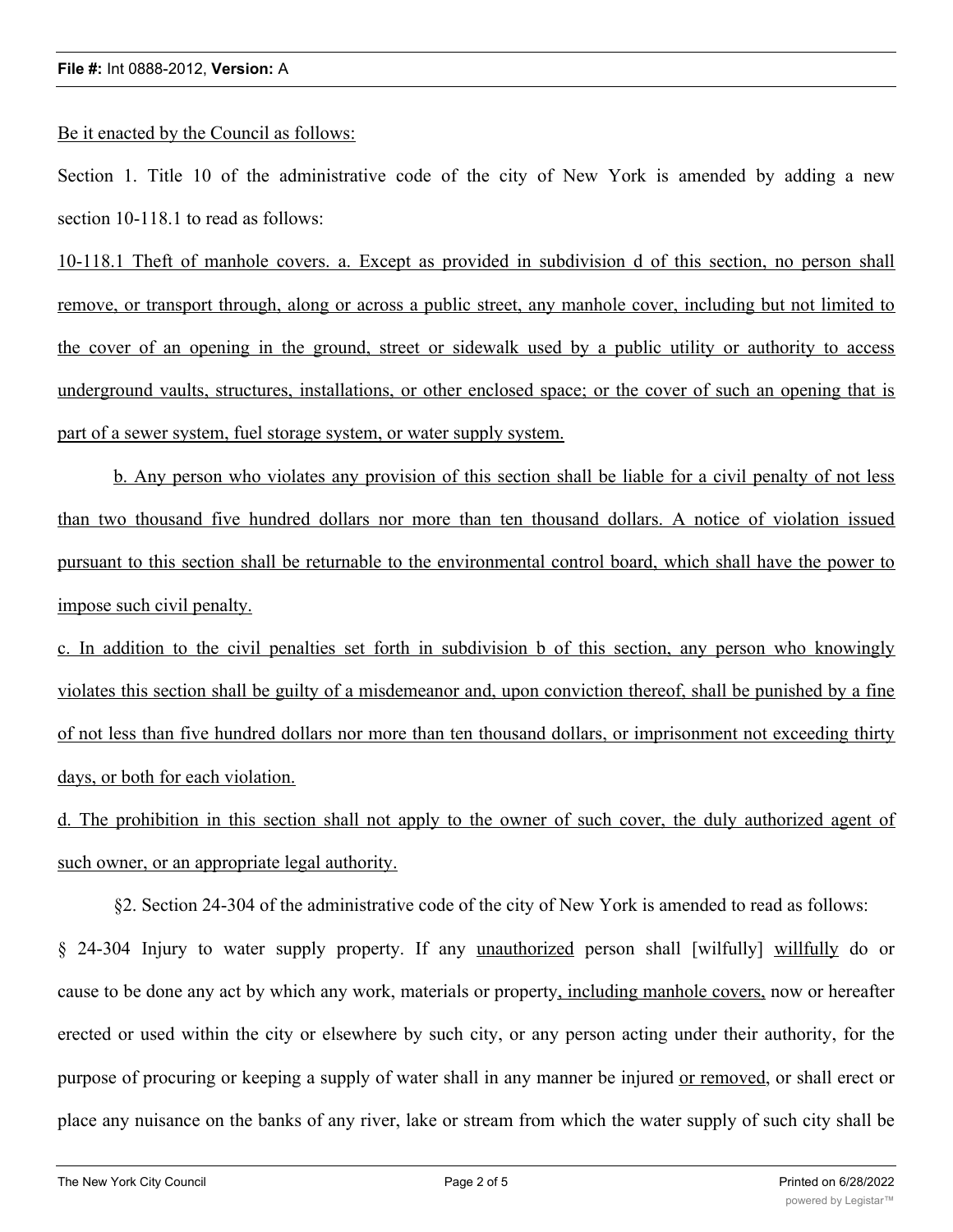Be it enacted by the Council as follows:

Section 1. Title 10 of the administrative code of the city of New York is amended by adding a new section 10-118.1 to read as follows:

10-118.1 Theft of manhole covers. a. Except as provided in subdivision d of this section, no person shall remove, or transport through, along or across a public street, any manhole cover, including but not limited to the cover of an opening in the ground, street or sidewalk used by a public utility or authority to access underground vaults, structures, installations, or other enclosed space; or the cover of such an opening that is part of a sewer system, fuel storage system, or water supply system.

b. Any person who violates any provision of this section shall be liable for a civil penalty of not less than two thousand five hundred dollars nor more than ten thousand dollars. A notice of violation issued pursuant to this section shall be returnable to the environmental control board, which shall have the power to impose such civil penalty.

c. In addition to the civil penalties set forth in subdivision b of this section, any person who knowingly violates this section shall be guilty of a misdemeanor and, upon conviction thereof, shall be punished by a fine of not less than five hundred dollars nor more than ten thousand dollars, or imprisonment not exceeding thirty days, or both for each violation.

d. The prohibition in this section shall not apply to the owner of such cover, the duly authorized agent of such owner, or an appropriate legal authority.

§2. Section 24-304 of the administrative code of the city of New York is amended to read as follows:

§ 24-304 Injury to water supply property. If any unauthorized person shall [wilfully] willfully do or cause to be done any act by which any work, materials or property, including manhole covers, now or hereafter erected or used within the city or elsewhere by such city, or any person acting under their authority, for the purpose of procuring or keeping a supply of water shall in any manner be injured or removed, or shall erect or place any nuisance on the banks of any river, lake or stream from which the water supply of such city shall be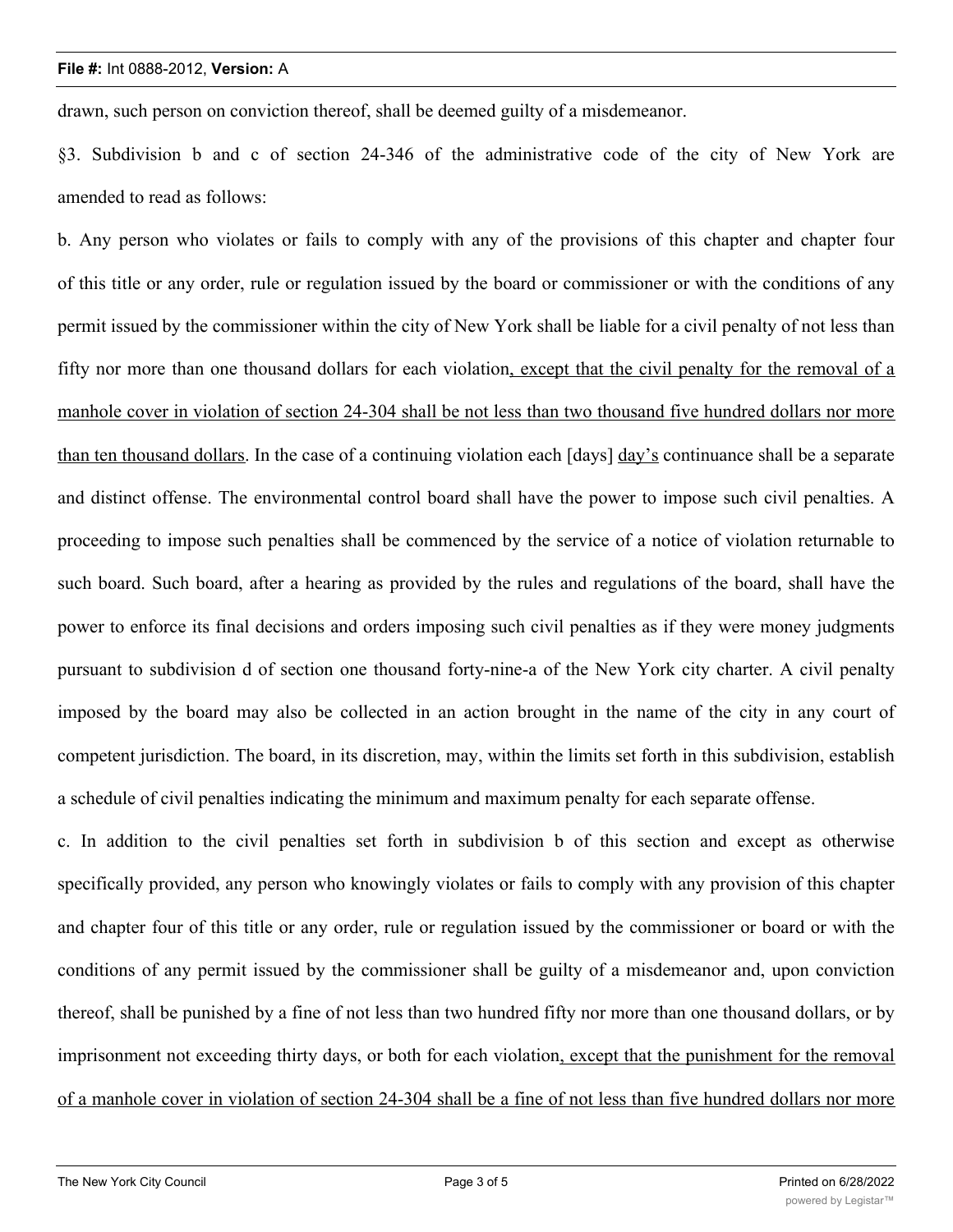## **File #:** Int 0888-2012, **Version:** A

drawn, such person on conviction thereof, shall be deemed guilty of a misdemeanor.

§3. Subdivision b and c of section 24-346 of the administrative code of the city of New York are amended to read as follows:

b. Any person who violates or fails to comply with any of the provisions of this chapter and chapter four of this title or any order, rule or regulation issued by the board or commissioner or with the conditions of any permit issued by the commissioner within the city of New York shall be liable for a civil penalty of not less than fifty nor more than one thousand dollars for each violation, except that the civil penalty for the removal of a manhole cover in violation of section 24-304 shall be not less than two thousand five hundred dollars nor more than ten thousand dollars. In the case of a continuing violation each [days] day's continuance shall be a separate and distinct offense. The environmental control board shall have the power to impose such civil penalties. A proceeding to impose such penalties shall be commenced by the service of a notice of violation returnable to such board. Such board, after a hearing as provided by the rules and regulations of the board, shall have the power to enforce its final decisions and orders imposing such civil penalties as if they were money judgments pursuant to subdivision d of section one thousand forty-nine-a of the New York city charter. A civil penalty imposed by the board may also be collected in an action brought in the name of the city in any court of competent jurisdiction. The board, in its discretion, may, within the limits set forth in this subdivision, establish a schedule of civil penalties indicating the minimum and maximum penalty for each separate offense.

c. In addition to the civil penalties set forth in subdivision b of this section and except as otherwise specifically provided, any person who knowingly violates or fails to comply with any provision of this chapter and chapter four of this title or any order, rule or regulation issued by the commissioner or board or with the conditions of any permit issued by the commissioner shall be guilty of a misdemeanor and, upon conviction thereof, shall be punished by a fine of not less than two hundred fifty nor more than one thousand dollars, or by imprisonment not exceeding thirty days, or both for each violation, except that the punishment for the removal of a manhole cover in violation of section 24-304 shall be a fine of not less than five hundred dollars nor more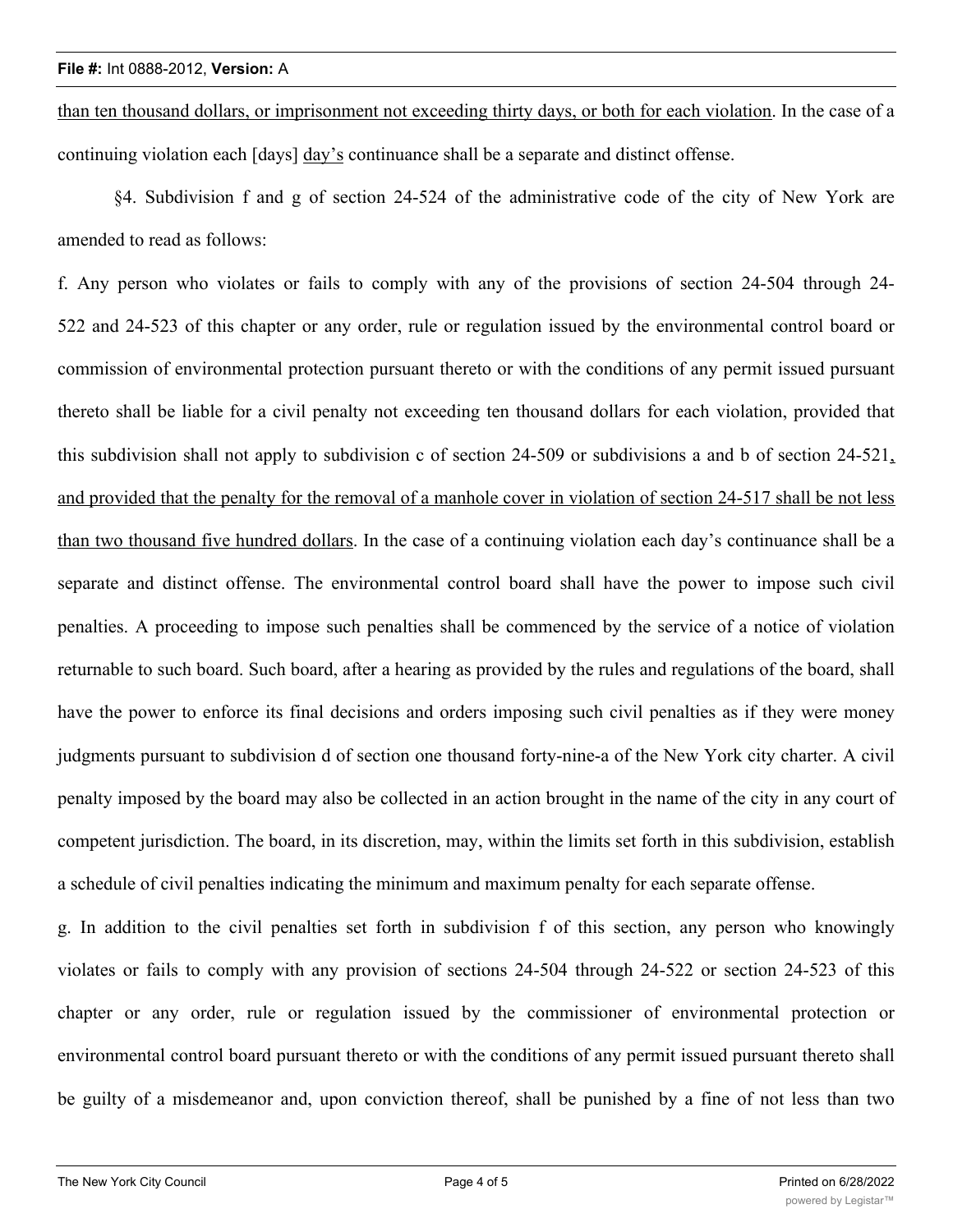than ten thousand dollars, or imprisonment not exceeding thirty days, or both for each violation. In the case of a continuing violation each [days] day's continuance shall be a separate and distinct offense.

§4. Subdivision f and g of section 24-524 of the administrative code of the city of New York are amended to read as follows:

f. Any person who violates or fails to comply with any of the provisions of section 24-504 through 24- 522 and 24-523 of this chapter or any order, rule or regulation issued by the environmental control board or commission of environmental protection pursuant thereto or with the conditions of any permit issued pursuant thereto shall be liable for a civil penalty not exceeding ten thousand dollars for each violation, provided that this subdivision shall not apply to subdivision c of section 24-509 or subdivisions a and b of section 24-521, and provided that the penalty for the removal of a manhole cover in violation of section 24-517 shall be not less than two thousand five hundred dollars. In the case of a continuing violation each day's continuance shall be a separate and distinct offense. The environmental control board shall have the power to impose such civil penalties. A proceeding to impose such penalties shall be commenced by the service of a notice of violation returnable to such board. Such board, after a hearing as provided by the rules and regulations of the board, shall have the power to enforce its final decisions and orders imposing such civil penalties as if they were money judgments pursuant to subdivision d of section one thousand forty-nine-a of the New York city charter. A civil penalty imposed by the board may also be collected in an action brought in the name of the city in any court of competent jurisdiction. The board, in its discretion, may, within the limits set forth in this subdivision, establish a schedule of civil penalties indicating the minimum and maximum penalty for each separate offense.

g. In addition to the civil penalties set forth in subdivision f of this section, any person who knowingly violates or fails to comply with any provision of sections 24-504 through 24-522 or section 24-523 of this chapter or any order, rule or regulation issued by the commissioner of environmental protection or environmental control board pursuant thereto or with the conditions of any permit issued pursuant thereto shall be guilty of a misdemeanor and, upon conviction thereof, shall be punished by a fine of not less than two